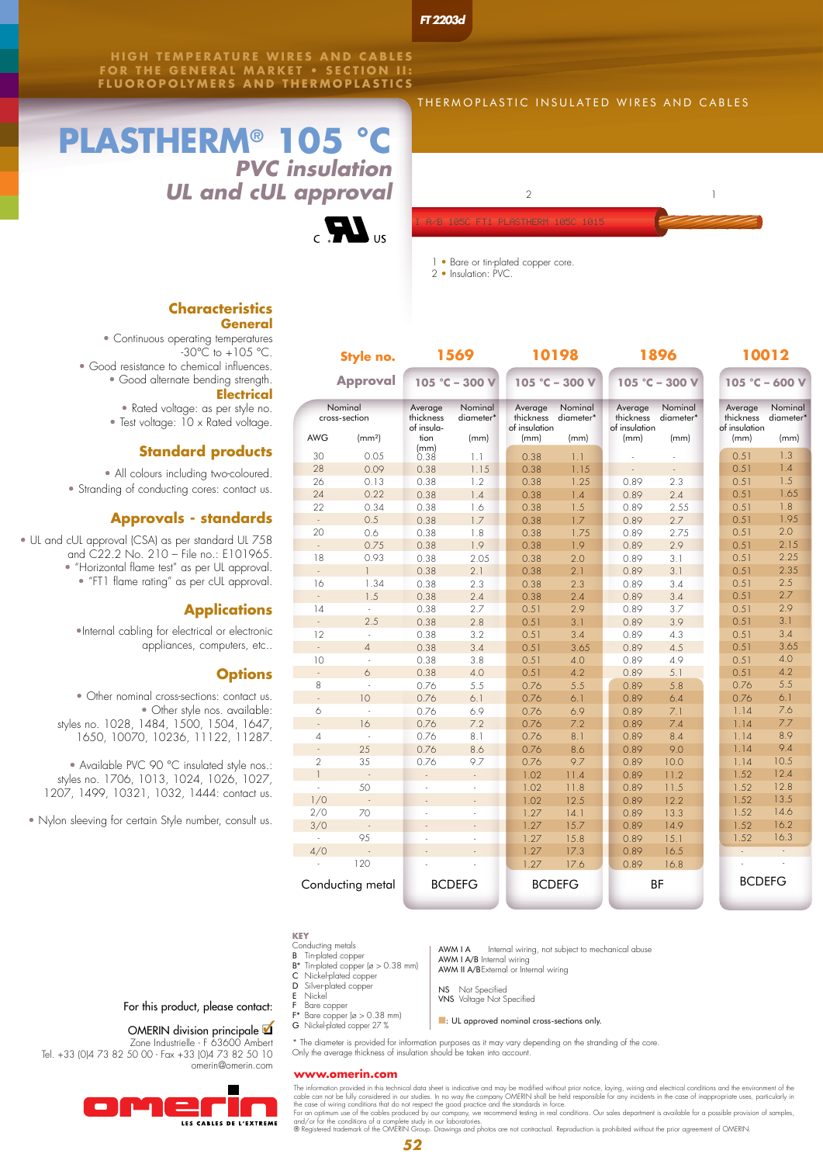*FT 2203d*

**HIGH TEMPERATURE WIRES AND CABLES FOR THE GENERAL MARKET • SECTION II: FLUOROPOLYMERS AND THERMOPLAST ICS**

# **PLASTHERM® 105 °C** *PVC insulation UL and cUL approval*



#### THERMOPLASTIC INSULATED WIRES AND CABLES



1 • Bare or tin-plated copper core.

2 • Insulation: PVC.

# **Characteristics**

| Style no.<br><b>Approval</b><br>Nominal<br>cross-section |                    | 1569<br>105 °C - 300 V             |                           |                                       | 10198                |                                       | 1896                 | 10012<br>105 °C - 600 V               |                                  |  |
|----------------------------------------------------------|--------------------|------------------------------------|---------------------------|---------------------------------------|----------------------|---------------------------------------|----------------------|---------------------------------------|----------------------------------|--|
|                                                          |                    |                                    |                           |                                       | $105 °C - 300 V$     |                                       | $105 °C - 300 V$     |                                       |                                  |  |
|                                                          |                    | Average<br>thickness<br>of insula- | Nominal<br>diameter*      | Average<br>thickness<br>of insulation | Nominal<br>diameter* | Average<br>thickness<br>of insulation | Nominal<br>diameter* | Average<br>thickness<br>of insulation | Nominal<br>diameter <sup>*</sup> |  |
| <b>AWG</b>                                               | (mm <sup>2</sup> ) | tion                               | (mm)                      | (mm)                                  | (mm)                 | (mm)                                  | (mm)                 | (mm)                                  | (mm)                             |  |
| 30                                                       | 0.05               | $\binom{mm}{0.38}$                 | 1.1                       | 0.38                                  | 1.1                  |                                       |                      | 0.51                                  | 1.3                              |  |
| 28                                                       | 0.09               | 0.38                               | 1.15                      | 0.38                                  | 1.15                 |                                       |                      | 0.51                                  | 1.4                              |  |
| 26                                                       | 0.13               | 0.38                               | 1.2                       | 0.38                                  | 1.25                 | 0.89                                  | 2.3                  | 0.51                                  | 1.5                              |  |
| 24                                                       | 0.22               | 0.38                               | 1.4                       | 0.38                                  | 1.4                  | 0.89                                  | 2.4                  | 0.51                                  | 1.65                             |  |
| 22                                                       | 0.34               | 0.38                               | 1.6                       | 0.38                                  | 1.5                  | 0.89                                  | 2.55                 | 0.51                                  | 1.8                              |  |
|                                                          | 0.5                | 0.38                               | 1.7                       | 0.38                                  | 1.7                  | 0.89                                  | 2.7                  | 0.51                                  | 1.95                             |  |
| 20                                                       | 0.6                | 0.38                               | 1.8                       | 0.38                                  | 1.75                 | 0.89                                  | 2.75                 | 0.51                                  | 2.0                              |  |
|                                                          | 0.75               | 0.38                               | 1.9                       | 0.38                                  | 1.9                  | 0.89                                  | 2.9                  | 0.51                                  | 2.15                             |  |
| 18                                                       | 0.93               | 0.38                               | 2.05                      | 0.38                                  | 2.0                  | 0.89                                  | 3.1                  | 0.51                                  | 2.25                             |  |
| ä,                                                       | $\mathbf{1}$       | 0.38                               | 2.1                       | 0.38                                  | 2.1                  | 0.89                                  | 3.1                  | 0.51                                  | 2.35                             |  |
| 16                                                       | 1.34               | 0.38                               | 2.3                       | 0.38                                  | 2.3                  | 0.89                                  | 3.4                  | 0.51                                  | 2.5                              |  |
| $\mathbb{Z}^2$                                           | 1.5                | 0.38                               | 2.4                       | 0.38                                  | 2.4                  | 0.89                                  | 3.4                  | 0.51                                  | 2.7                              |  |
| 14                                                       | ÷.                 | 0.38                               | 2.7                       | 0.51                                  | 2.9                  | 0.89                                  | 3.7                  | 0.51                                  | 2.9                              |  |
| ÷,                                                       | 2.5                | 0.38                               | 2.8                       | 0.51                                  | 3.1                  | 0.89                                  | 3.9                  | 0.51                                  | 3.1                              |  |
| 12                                                       | ÷.                 | 0.38                               | 3.2                       | 0.51                                  | 3.4                  | 0.89                                  | 4.3                  | 0.51                                  | 3.4                              |  |
| ÷.                                                       | $\overline{4}$     | 0.38                               | 3.4                       | 0.51                                  | 3.65                 | 0.89                                  | 4.5                  | 0.51                                  | 3.65                             |  |
| 10                                                       | ÷,                 | 0.38                               | 3.8                       | 0.51                                  | 4.0                  | 0.89                                  | 4.9                  | 0.51                                  | 4.0                              |  |
| $\mathbb{Z}^2$                                           | 6                  | 0.38                               | 4.0                       | 0.51                                  | 4.2                  | 0.89                                  | 5.1                  | 0.51                                  | 4.2                              |  |
| 8                                                        | L.                 | 0.76                               | 5.5                       | 0.76                                  | 5.5                  | 0.89                                  | 5.8                  | 0.76                                  | 5.5                              |  |
| ÷.                                                       | 10                 | 0.76                               | 6.1                       | 0.76                                  | 6.1                  | 0.89                                  | 6.4                  | 0.76                                  | 6.1                              |  |
| 6                                                        | J.                 | 0.76                               | 6.9                       | 0.76                                  | 6.9                  | 0.89                                  | 7.1                  | 1.14                                  | 7.6                              |  |
| $\overline{\phantom{a}}$                                 | 16                 | 0.76                               | 7.2                       | 0.76                                  | 7.2                  | 0.89                                  | 7.4                  | 1.14                                  | 7.7                              |  |
| $\overline{4}$                                           | t,                 | 0.76                               | 8.1                       | 0.76                                  | 8.1                  | 0.89                                  | 8.4                  | 1.14                                  | 8.9                              |  |
| ÷,                                                       | 25                 | 0.76                               | 8.6                       | 0.76                                  | 8.6                  | 0.89                                  | 9.0                  | 1.14                                  | 9.4                              |  |
| $\overline{2}$                                           | 35                 | 0.76                               | 9.7                       | 0.76                                  | 9.7                  | 0.89                                  | 10.0                 | 1.14                                  | 10.5                             |  |
| $\mathbf{1}$                                             | L.                 | L,                                 | $\mathbb{Z}^{\mathbb{Z}}$ | 1.02                                  | 11.4                 | 0.89                                  | 11.2                 | 1.52                                  | 12.4                             |  |
| ÷.                                                       | 50                 | ä,                                 | L.                        | 1.02                                  | 11.8                 | 0.89                                  | 11.5                 | 1.52                                  | 12.8                             |  |
| 1/0                                                      | ÷,                 | ä,                                 | ÷.                        | 1.02                                  | 12.5                 | 0.89                                  | 12.2                 | 1.52                                  | 13.5                             |  |
| 2/0                                                      | 70                 |                                    |                           | 1.27                                  | 14.1                 | 0.89                                  | 13.3                 | 1.52                                  | 14.6                             |  |
| 3/0                                                      |                    | ä,                                 | L.                        | 1.27                                  | 15.7                 | 0.89                                  | 14.9                 | 1.52                                  | 16.2                             |  |
|                                                          | 95                 | ä,                                 | ÷,                        | 1.27                                  | 15.8                 | 0.89                                  | 15.1                 | 1.52                                  | 16.3                             |  |
| 4/0                                                      |                    |                                    |                           | 1.27                                  | 17.3                 | 0.89                                  | 16.5                 |                                       |                                  |  |
|                                                          | 120                |                                    |                           | 1.27                                  | 17.6                 | 0.89                                  | 16.8                 |                                       |                                  |  |
| Conducting metal                                         |                    | <b>BCDEFG</b>                      |                           | <b>BCDEFG</b>                         |                      |                                       | ΒF                   | <b>BCDEFG</b>                         |                                  |  |

# **General** • Continuous operating temperatures

 $-30^{\circ}$ C to  $+105^{\circ}$ C. • Good resistance to chemical influences. • Good alternate bending strength. **Electrical**

## • Rated voltage: as per style no.

• Test voltage: 10 x Rated voltage.

### **Standard products**

• All colours including two-coloured.

• Stranding of conducting cores: contact us.

#### **Approvals - standards**

• UL and cUL approval (CSA) as per standard UL 758 and C22.2 No. 210 – File no.: E101965.

• "Horizontal flame test" as per UL approval. • "FT1 flame rating" as per cUL approval.

### **Applications**

•Internal cabling for electrical or electronic appliances, computers, etc..

#### **Options**

• Other nominal cross-sections: contact us. • Other style nos. available: styles no. 1028, 1484, 1500, 1504, 1647, 1650, 10070, 10236, 11122, 11287.

• Available PVC 90 °C insulated style nos.: styles no. 1706, 1013, 1024, 1026, 1027, 1207, 1499, 10321, 1032, 1444: contact us.

• Nylon sleeving for certain Style number, consult us.

For this product, please contact:

Zone Industrielle - F 63600 Ambert

omerin@omerin.com

LES CABLES DE L'EXTREME

Tel. +33 (0)4 73 82 50 00 - Fax +33 (0)4 73 82 50 10

- **KEY**
- Conducting metals<br>**B** Tin-plated copp Tin-plated copper
- B\* Tin-plated copper (ø > 0.38 mm) C Nickel-plated copper
- D Silver-plated copper
- 
- E Nickel F Bare copper
- F\* Bare copper (ø > 0.38 mm) G Nickel-plated copper 27 %
- 

AWM I A/B Internal wiring AWM II A/BExternal or Internal wiring

AWM I A Internal wiring, not subject to mechanical abuse

- NS Not Specified VNS Voltage Not Specified
- **n:** UL approved nominal cross-sections only.
- OMERIN division principale  $\blacksquare$

\* The diameter is provided for information purposes as it may vary depending on the stranding of the core. Only the average thickness of insulation should be taken into account.

#### **www.omerin.com**

The information provided in this technical data sheet is indicative and may be modified without prior notice, laying, wiring and electrical conditions and the environment of the case of inappropriate uses, particularly in

*52*